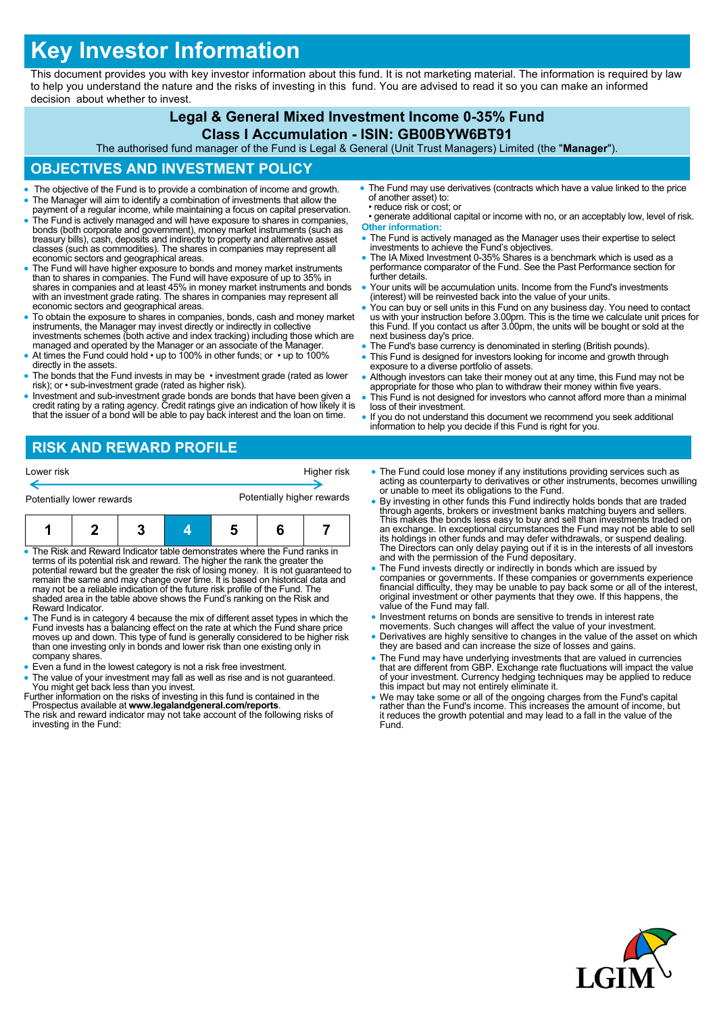# **Key Investor Information**

This document provides you with key investor information about this fund. It is not marketing material. The information is required by law to help you understand the nature and the risks of investing in this fund. You are advised to read it so you can make an informed decision about whether to invest.

## **Legal & General Mixed Investment Income 0-35% Fund**

#### **Class I Accumulation - ISIN: GB00BYW6BT91**

The authorised fund manager of the Fund is Legal & General (Unit Trust Managers) Limited (the "**Manager**").

## **OBJECTIVES AND INVESTMENT POLICY**

- The objective of the Fund is to provide a combination of income and growth.
- The Manager will aim to identify a combination of investments that allow the payment of a regular income, while maintaining a focus on capital preservation. The Fund is actively managed and will have exposure to shares in companies, bonds (both corporate and government), money market instruments (such as
- treasury bills), cash, deposits and indirectly to property and alternative asset classes (such as commodities). The shares in companies may represent all economic sectors and geographical areas.
- The Fund will have higher exposure to bonds and money market instruments than to shares in companies. The Fund will have exposure of up to 35% in shares in companies and at least 45% in money market instruments and bonds with an investment grade rating. The shares in companies may represent all economic sectors and geographical areas.
- To obtain the exposure to shares in companies, bonds, cash and money market instruments, the Manager may invest directly or indirectly in collective investments schemes (both active and index tracking) including those which are managed and operated by the Manager or an associate of the Manager.
- At times the Fund could hold up to 100% in other funds; or up to 100% directly in the assets.
- The bonds that the Fund invests in may be investment grade (rated as lower risk); or • sub-investment grade (rated as higher risk).
- Investment and sub-investment grade bonds are bonds that have been given a credit rating by a rating agency. Credit ratings give an indication of how likely it is that the issuer of a bond will be able to pay back interest and the loan on time.
- The Fund may use derivatives (contracts which have a value linked to the price of another asset) to: • reduce risk or cost; or
- generate additional capital or income with no, or an acceptably low, level of risk. **Other information:**
- The Fund is actively managed as the Manager uses their expertise to select investments to achieve the Fund's objectives.
- The IA Mixed Investment 0-35% Shares is a benchmark which is used as a performance comparator of the Fund. See the Past Performance section for further details.
- Your units will be accumulation units. Income from the Fund's investments (interest) will be reinvested back into the value of your units.
- You can buy or sell units in this Fund on any business day. You need to contact us with your instruction before 3.00pm. This is the time we calculate unit prices for this Fund. If you contact us after 3.00pm, the units w next business day's price.
- The Fund's base currency is denominated in sterling (British pounds).
- This Fund is designed for investors looking for income and growth through exposure to a diverse portfolio of assets.
- Although investors can take their money out at any time, this Fund may not be appropriate for those who plan to withdraw their money within five years.
- This Fund is not designed for investors who cannot afford more than a minimal loss of their investment.
- If you do not understand this document we recommend you seek additional information to help you decide if this Fund is right for you.

## **RISK AND REWARD PROFILE**

| Lower risk<br>Potentially lower rewards |  |  |  | Higher risk<br>Potentially higher rewards |  |  |  |
|-----------------------------------------|--|--|--|-------------------------------------------|--|--|--|
|                                         |  |  |  |                                           |  |  |  |

- The Risk and Reward Indicator table demonstrates where the Fund ranks in terms of its potential risk and reward. The higher the rank the greater the potential reward but the greater the risk of losing money. It is not guaranteed to remain the same and may change over time. It is based on historical data and may not be a reliable indication of the future risk profile of the Fund. The shaded area in the table above shows the Fund's ranking on the Risk and Reward Indicator.
- The Fund is in category 4 because the mix of different asset types in which the Fund invests has a balancing effect on the rate at which the Fund share price moves up and down. This type of fund is generally considered to be higher risk than one investing only in bonds and lower risk than one existing only in company shares.
- Even a fund in the lowest category is not a risk free investment.
- The value of your investment may fall as well as rise and is not guaranteed. You might get back less than you invest.
- Further information on the risks of investing in this fund is contained in the Prospectus available at **www.legalandgeneral.com/reports**.
- The risk and reward indicator may not take account of the following risks of investing in the Fund:
- The Fund could lose money if any institutions providing services such as acting as counterparty to derivatives or other instruments, becomes unwilling or unable to meet its obligations to the Fund.
- By investing in other funds this Fund indirectly holds bonds that are traded through agents, brokers or investment banks matching buyers and sellers. This makes the bonds less easy to buy and sell than investments traded on an exchange. In exceptional circumstances the Fund may not be able to sell its holdings in other funds and may defer withdrawals, or suspend dealing. The Directors can only delay paying out if it is in the interests of all investors and with the permission of the Fund depositary.
- The Fund invests directly or indirectly in bonds which are issued by companies or governments. If these companies or governments experience financial difficulty, they may be unable to pay back some or all of the interest, original investment or other payments that they owe. If this happens, the value of the Fund may fall.
- Investment returns on bonds are sensitive to trends in interest rate movements. Such changes will affect the value of your investment.
- Derivatives are highly sensitive to changes in the value of the asset on which they are based and can increase the size of losses and gains.
- The Fund may have underlying investments that are valued in currencies that are different from GBP. Exchange rate fluctuations will impact the value of your investment. Currency hedging techniques may be applied to reduce this impact but may not entirely eliminate it.
- We may take some or all of the ongoing charges from the Fund's capital rather than the Fund's income. This increases the amount of income, but it reduces the growth potential and may lead to a fall in the value of the Fund.